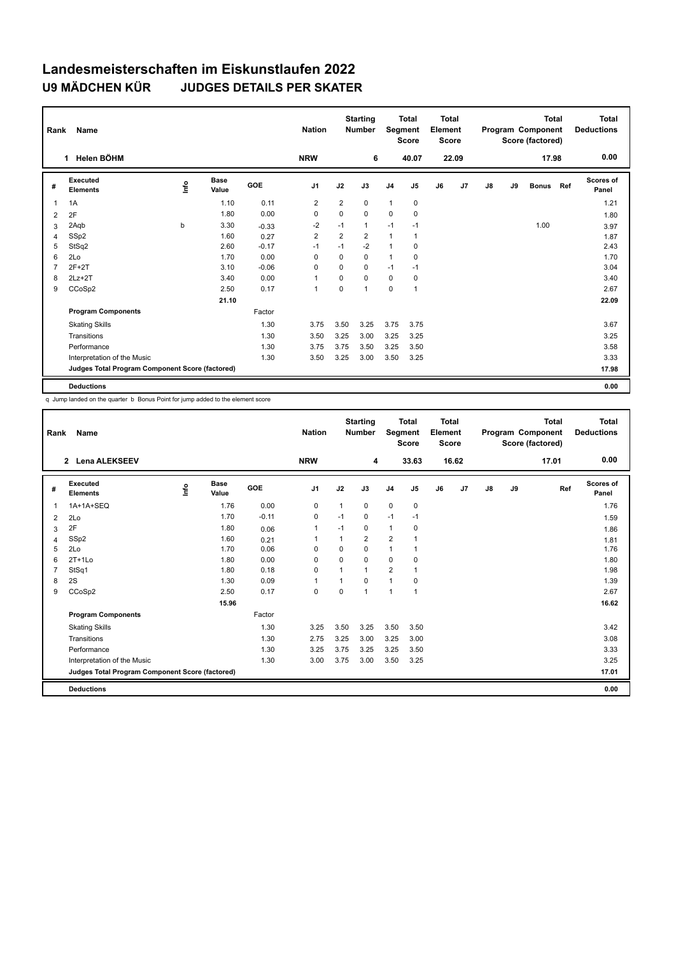## **Landesmeisterschaften im Eiskunstlaufen 2022 U9 MÄDCHEN KÜR JUDGES DETAILS PER SKATER**

| Rank           | Name                                            |      |                      |            | <b>Nation</b>  |                | <b>Starting</b><br><b>Number</b> | Segment        | <b>Total</b><br><b>Score</b> | Total<br>Element<br><b>Score</b> |                |    |    | <b>Total</b><br>Program Component<br>Score (factored) |     | Total<br><b>Deductions</b> |
|----------------|-------------------------------------------------|------|----------------------|------------|----------------|----------------|----------------------------------|----------------|------------------------------|----------------------------------|----------------|----|----|-------------------------------------------------------|-----|----------------------------|
|                | Helen BÖHM<br>1.                                |      |                      |            | <b>NRW</b>     |                | 6                                |                | 40.07                        |                                  | 22.09          |    |    | 17.98                                                 |     | 0.00                       |
| #              | Executed<br><b>Elements</b>                     | lnfo | <b>Base</b><br>Value | <b>GOE</b> | J <sub>1</sub> | J2             | J3                               | J <sub>4</sub> | J <sub>5</sub>               | J6                               | J <sub>7</sub> | J8 | J9 | <b>Bonus</b>                                          | Ref | <b>Scores of</b><br>Panel  |
| $\overline{1}$ | 1A                                              |      | 1.10                 | 0.11       | $\overline{2}$ | $\overline{2}$ | 0                                | $\mathbf{1}$   | 0                            |                                  |                |    |    |                                                       |     | 1.21                       |
| 2              | 2F                                              |      | 1.80                 | 0.00       | $\mathbf 0$    | $\mathbf 0$    | 0                                | $\Omega$       | $\mathbf 0$                  |                                  |                |    |    |                                                       |     | 1.80                       |
| 3              | 2Aqb                                            | b    | 3.30                 | $-0.33$    | $-2$           | $-1$           | $\mathbf{1}$                     | $-1$           | $-1$                         |                                  |                |    |    | 1.00                                                  |     | 3.97                       |
| $\overline{4}$ | SSp2                                            |      | 1.60                 | 0.27       | $\overline{2}$ | $\overline{2}$ | $\overline{2}$                   | $\mathbf{1}$   | 1                            |                                  |                |    |    |                                                       |     | 1.87                       |
| 5              | StSq2                                           |      | 2.60                 | $-0.17$    | $-1$           | $-1$           | $-2$                             | $\mathbf{1}$   | 0                            |                                  |                |    |    |                                                       |     | 2.43                       |
| 6              | 2Lo                                             |      | 1.70                 | 0.00       | $\Omega$       | $\Omega$       | 0                                | $\mathbf{1}$   | 0                            |                                  |                |    |    |                                                       |     | 1.70                       |
| $\overline{7}$ | $2F+2T$                                         |      | 3.10                 | $-0.06$    | $\Omega$       | $\Omega$       | 0                                | $-1$           | $-1$                         |                                  |                |    |    |                                                       |     | 3.04                       |
| 8              | $2Lz+2T$                                        |      | 3.40                 | 0.00       | $\overline{1}$ | 0              | $\Omega$                         | 0              | 0                            |                                  |                |    |    |                                                       |     | 3.40                       |
| 9              | CCoSp2                                          |      | 2.50                 | 0.17       | $\mathbf{1}$   | 0              | 1                                | $\mathbf 0$    | 1                            |                                  |                |    |    |                                                       |     | 2.67                       |
|                |                                                 |      | 21.10                |            |                |                |                                  |                |                              |                                  |                |    |    |                                                       |     | 22.09                      |
|                | <b>Program Components</b>                       |      |                      | Factor     |                |                |                                  |                |                              |                                  |                |    |    |                                                       |     |                            |
|                | <b>Skating Skills</b>                           |      |                      | 1.30       | 3.75           | 3.50           | 3.25                             | 3.75           | 3.75                         |                                  |                |    |    |                                                       |     | 3.67                       |
|                | Transitions                                     |      |                      | 1.30       | 3.50           | 3.25           | 3.00                             | 3.25           | 3.25                         |                                  |                |    |    |                                                       |     | 3.25                       |
|                | Performance                                     |      |                      | 1.30       | 3.75           | 3.75           | 3.50                             | 3.25           | 3.50                         |                                  |                |    |    |                                                       |     | 3.58                       |
|                | Interpretation of the Music                     |      |                      | 1.30       | 3.50           | 3.25           | 3.00                             | 3.50           | 3.25                         |                                  |                |    |    |                                                       |     | 3.33                       |
|                | Judges Total Program Component Score (factored) |      |                      |            |                |                |                                  |                |                              |                                  |                |    |    |                                                       |     | 17.98                      |
|                | <b>Deductions</b>                               |      |                      |            |                |                |                                  |                |                              |                                  |                |    |    |                                                       |     | 0.00                       |

q Jump landed on the quarter b Bonus Point for jump added to the element score

| Rank | <b>Name</b>                                     |    |                      |         | <b>Nation</b>  |                | <b>Starting</b><br><b>Number</b> | Segment        | <b>Total</b><br><b>Score</b> | Total<br>Element<br><b>Score</b> |       |               |    | <b>Total</b><br>Program Component<br>Score (factored) | <b>Total</b><br><b>Deductions</b> |
|------|-------------------------------------------------|----|----------------------|---------|----------------|----------------|----------------------------------|----------------|------------------------------|----------------------------------|-------|---------------|----|-------------------------------------------------------|-----------------------------------|
|      | <b>Lena ALEKSEEV</b><br>$\mathbf{2}$            |    |                      |         | <b>NRW</b>     |                | 4                                |                | 33.63                        |                                  | 16.62 |               |    | 17.01                                                 | 0.00                              |
| #    | Executed<br><b>Elements</b>                     | ۴ů | <b>Base</b><br>Value | GOE     | J <sub>1</sub> | J2             | J3                               | J <sub>4</sub> | J5                           | J6                               | J7    | $\mathsf{J}8$ | J9 | Ref                                                   | <b>Scores of</b><br>Panel         |
| 1    | 1A+1A+SEQ                                       |    | 1.76                 | 0.00    | 0              | $\mathbf{1}$   | 0                                | $\mathbf 0$    | 0                            |                                  |       |               |    |                                                       | 1.76                              |
| 2    | 2Lo                                             |    | 1.70                 | $-0.11$ | 0              | $-1$           | 0                                | $-1$           | $-1$                         |                                  |       |               |    |                                                       | 1.59                              |
| 3    | 2F                                              |    | 1.80                 | 0.06    | $\mathbf{1}$   | $-1$           | 0                                | $\mathbf{1}$   | 0                            |                                  |       |               |    |                                                       | 1.86                              |
| 4    | SSp2                                            |    | 1.60                 | 0.21    | 1              | 1              | $\overline{2}$                   | $\overline{2}$ |                              |                                  |       |               |    |                                                       | 1.81                              |
| 5    | 2Lo                                             |    | 1.70                 | 0.06    | 0              | $\mathbf 0$    | $\mathbf 0$                      | $\mathbf{1}$   |                              |                                  |       |               |    |                                                       | 1.76                              |
| 6    | $2T+1L0$                                        |    | 1.80                 | 0.00    | 0              | 0              | 0                                | 0              | 0                            |                                  |       |               |    |                                                       | 1.80                              |
|      | StSq1                                           |    | 1.80                 | 0.18    | $\mathbf 0$    | $\overline{ }$ | 1                                | $\overline{2}$ |                              |                                  |       |               |    |                                                       | 1.98                              |
| 8    | 2S                                              |    | 1.30                 | 0.09    | $\mathbf{1}$   |                | 0                                | $\mathbf{1}$   | $\Omega$                     |                                  |       |               |    |                                                       | 1.39                              |
| 9    | CCoSp2                                          |    | 2.50                 | 0.17    | $\mathbf 0$    | $\Omega$       | 1                                | $\overline{1}$ | 1                            |                                  |       |               |    |                                                       | 2.67                              |
|      |                                                 |    | 15.96                |         |                |                |                                  |                |                              |                                  |       |               |    |                                                       | 16.62                             |
|      | <b>Program Components</b>                       |    |                      | Factor  |                |                |                                  |                |                              |                                  |       |               |    |                                                       |                                   |
|      | <b>Skating Skills</b>                           |    |                      | 1.30    | 3.25           | 3.50           | 3.25                             | 3.50           | 3.50                         |                                  |       |               |    |                                                       | 3.42                              |
|      | Transitions                                     |    |                      | 1.30    | 2.75           | 3.25           | 3.00                             | 3.25           | 3.00                         |                                  |       |               |    |                                                       | 3.08                              |
|      | Performance                                     |    |                      | 1.30    | 3.25           | 3.75           | 3.25                             | 3.25           | 3.50                         |                                  |       |               |    |                                                       | 3.33                              |
|      | Interpretation of the Music                     |    |                      | 1.30    | 3.00           | 3.75           | 3.00                             | 3.50           | 3.25                         |                                  |       |               |    |                                                       | 3.25                              |
|      | Judges Total Program Component Score (factored) |    |                      |         |                |                |                                  |                |                              |                                  |       |               |    |                                                       | 17.01                             |
|      | <b>Deductions</b>                               |    |                      |         |                |                |                                  |                |                              |                                  |       |               |    |                                                       | 0.00                              |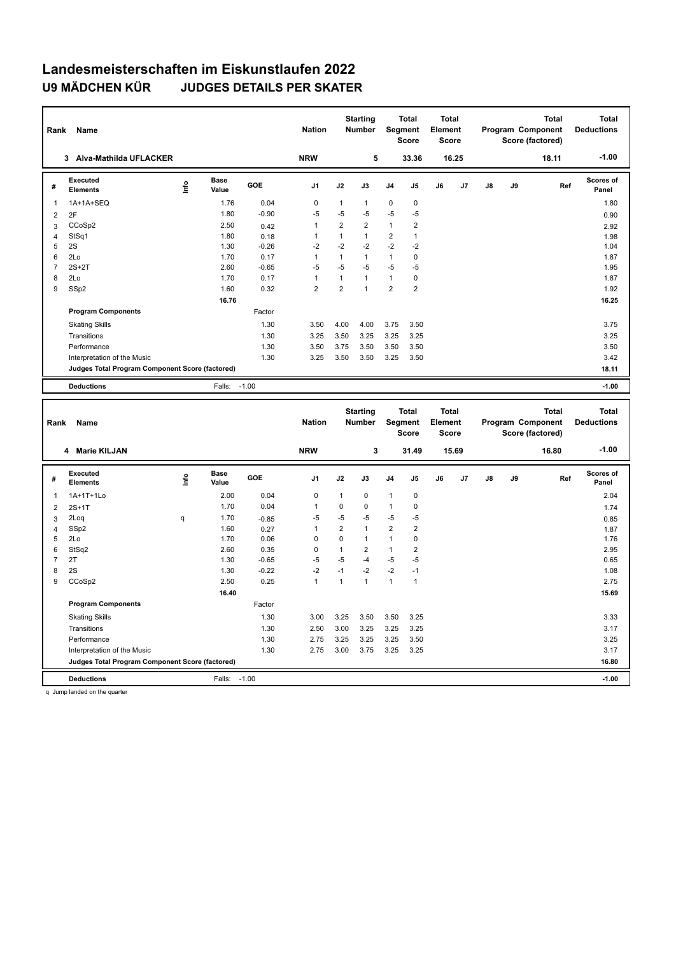## **Landesmeisterschaften im Eiskunstlaufen 2022 U9 MÄDCHEN KÜR JUDGES DETAILS PER SKATER**

| Rank           | Name                                            |                                  |                      |         | <b>Nation</b>  |                | <b>Starting</b><br>Number        | Segment                 | <b>Total</b><br><b>Score</b> | Total<br>Element<br><b>Score</b>        |       |    |    | <b>Total</b><br>Program Component<br>Score (factored) |     | <b>Total</b><br><b>Deductions</b> |
|----------------|-------------------------------------------------|----------------------------------|----------------------|---------|----------------|----------------|----------------------------------|-------------------------|------------------------------|-----------------------------------------|-------|----|----|-------------------------------------------------------|-----|-----------------------------------|
|                | 3 Alva-Mathilda UFLACKER                        |                                  |                      |         | <b>NRW</b>     |                | 5                                |                         | 33.36                        |                                         | 16.25 |    |    | 18.11                                                 |     | $-1.00$                           |
| #              | <b>Executed</b><br><b>Elements</b>              | $\mathop{\mathsf{Irr}}\nolimits$ | <b>Base</b><br>Value | GOE     | J1             | J2             | J3                               | J4                      | J5                           | J6                                      | J7    | J8 | J9 |                                                       | Ref | Scores of<br>Panel                |
| 1              | 1A+1A+SEQ                                       |                                  | 1.76                 | 0.04    | $\pmb{0}$      | $\mathbf{1}$   | $\mathbf{1}$                     | 0                       | $\pmb{0}$                    |                                         |       |    |    |                                                       |     | 1.80                              |
| $\overline{2}$ | 2F                                              |                                  | 1.80                 | $-0.90$ | $-5$           | $-5$           | -5                               | $-5$                    | $-5$                         |                                         |       |    |    |                                                       |     | 0.90                              |
| 3              | CCoSp2                                          |                                  | 2.50                 | 0.42    | $\mathbf{1}$   | $\overline{2}$ | $\overline{2}$                   | $\mathbf{1}$            | $\overline{2}$               |                                         |       |    |    |                                                       |     | 2.92                              |
| 4              | StSq1                                           |                                  | 1.80                 | 0.18    | 1              | $\mathbf{1}$   | $\mathbf{1}$                     | $\boldsymbol{2}$        | $\mathbf{1}$                 |                                         |       |    |    |                                                       |     | 1.98                              |
| 5              | 2S                                              |                                  | 1.30                 | $-0.26$ | $-2$           | $-2$           | $-2$                             | $-2$                    | $-2$                         |                                         |       |    |    |                                                       |     | 1.04                              |
| 6              | 2Lo                                             |                                  | 1.70                 | 0.17    | $\mathbf{1}$   | $\mathbf{1}$   | $\mathbf{1}$                     | 1                       | $\pmb{0}$                    |                                         |       |    |    |                                                       |     | 1.87                              |
| $\overline{7}$ | $2S+2T$                                         |                                  | 2.60                 | $-0.65$ | $-5$           | $-5$           | -5                               | $-5$                    | $-5$                         |                                         |       |    |    |                                                       |     | 1.95                              |
| 8              | 2Lo                                             |                                  | 1.70                 | 0.17    | $\mathbf{1}$   | $\mathbf{1}$   | $\mathbf{1}$                     | 1                       | $\pmb{0}$                    |                                         |       |    |    |                                                       |     | 1.87                              |
| 9              | SSp2                                            |                                  | 1.60                 | 0.32    | $\overline{2}$ | $\overline{2}$ | $\mathbf{1}$                     | $\overline{2}$          | $\overline{2}$               |                                         |       |    |    |                                                       |     | 1.92                              |
|                |                                                 |                                  | 16.76                |         |                |                |                                  |                         |                              |                                         |       |    |    |                                                       |     | 16.25                             |
|                | <b>Program Components</b>                       |                                  |                      | Factor  |                |                |                                  |                         |                              |                                         |       |    |    |                                                       |     |                                   |
|                | <b>Skating Skills</b>                           |                                  |                      | 1.30    | 3.50           | 4.00           | 4.00                             | 3.75                    | 3.50                         |                                         |       |    |    |                                                       |     | 3.75                              |
|                | Transitions                                     |                                  |                      | 1.30    | 3.25           | 3.50           | 3.25                             | 3.25                    | 3.25                         |                                         |       |    |    |                                                       |     | 3.25                              |
|                | Performance                                     |                                  |                      | 1.30    | 3.50           | 3.75           | 3.50                             | 3.50                    | 3.50                         |                                         |       |    |    |                                                       |     | 3.50                              |
|                | Interpretation of the Music                     |                                  |                      | 1.30    | 3.25           | 3.50           | 3.50                             | 3.25                    | 3.50                         |                                         |       |    |    |                                                       |     | 3.42                              |
|                | Judges Total Program Component Score (factored) |                                  |                      |         |                |                |                                  |                         |                              |                                         |       |    |    |                                                       |     | 18.11                             |
|                | <b>Deductions</b>                               |                                  | Falls:               | $-1.00$ |                |                |                                  |                         |                              |                                         |       |    |    |                                                       |     | $-1.00$                           |
| Rank<br>Name   |                                                 |                                  |                      |         |                |                |                                  |                         |                              |                                         |       |    |    |                                                       |     |                                   |
|                |                                                 |                                  |                      |         | <b>Nation</b>  |                | <b>Starting</b><br><b>Number</b> | Segment                 | <b>Total</b><br><b>Score</b> | <b>Total</b><br>Element<br><b>Score</b> |       |    |    | <b>Total</b><br>Program Component<br>Score (factored) |     | <b>Total</b><br><b>Deductions</b> |
|                | 4 Marie KILJAN                                  |                                  |                      |         | <b>NRW</b>     |                | 3                                |                         | 31.49                        |                                         | 15.69 |    |    | 16.80                                                 |     | $-1.00$                           |
| #              | <b>Executed</b><br><b>Elements</b>              | lnfo                             | <b>Base</b><br>Value | GOE     | J1             | J2             | J3                               | J4                      | J5                           | J6                                      | J7    | J8 | J9 |                                                       | Ref | Scores of<br>Panel                |
| 1              | 1A+1T+1Lo                                       |                                  | 2.00                 | 0.04    | 0              | 1              | 0                                | 1                       | $\pmb{0}$                    |                                         |       |    |    |                                                       |     | 2.04                              |
| $\overline{2}$ | $2S+1T$                                         |                                  | 1.70                 | 0.04    | $\mathbf{1}$   | $\mathbf 0$    | $\mathbf 0$                      | $\mathbf{1}$            | $\mathbf 0$                  |                                         |       |    |    |                                                       |     | 1.74                              |
| 3              | 2Log                                            | q                                | 1.70                 | $-0.85$ | $-5$           | $-5$           | $-5$                             | $-5$                    | $-5$                         |                                         |       |    |    |                                                       |     |                                   |
| 4              | SSp2                                            |                                  | 1.60                 | 0.27    | $\mathbf{1}$   | $\overline{2}$ | $\mathbf{1}$                     | $\overline{\mathbf{c}}$ | $\overline{2}$               |                                         |       |    |    |                                                       |     | 0.85<br>1.87                      |
| 5              | 2Lo                                             |                                  | 1.70                 | 0.06    | 0              | $\pmb{0}$      | $\mathbf{1}$                     | 1                       | $\pmb{0}$                    |                                         |       |    |    |                                                       |     | 1.76                              |
| 6              | StSq2                                           |                                  | 2.60                 | 0.35    | 0              | $\mathbf{1}$   | $\overline{2}$                   | $\mathbf{1}$            | $\overline{2}$               |                                         |       |    |    |                                                       |     | 2.95                              |
| $\overline{7}$ | 2T                                              |                                  | 1.30                 | $-0.65$ | -5             | $-5$           | $-4$                             | $-5$                    | $-5$                         |                                         |       |    |    |                                                       |     | 0.65                              |
| 8              | 2S                                              |                                  | 1.30                 | $-0.22$ | $-2$           | $-1$           | $-2$                             | $-2$                    | $-1$                         |                                         |       |    |    |                                                       |     | 1.08                              |
| 9              | CCoSp2                                          |                                  | 2.50                 | 0.25    | $\mathbf{1}$   | $\mathbf{1}$   | $\mathbf{1}$                     | $\mathbf{1}$            | $\mathbf{1}$                 |                                         |       |    |    |                                                       |     | 2.75                              |
|                |                                                 |                                  | 16.40                |         |                |                |                                  |                         |                              |                                         |       |    |    |                                                       |     | 15.69                             |
|                | <b>Program Components</b>                       |                                  |                      | Factor  |                |                |                                  |                         |                              |                                         |       |    |    |                                                       |     |                                   |
|                | <b>Skating Skills</b>                           |                                  |                      | 1.30    | 3.00           | 3.25           | 3.50                             | 3.50                    | 3.25                         |                                         |       |    |    |                                                       |     | 3.33                              |
|                | Transitions                                     |                                  |                      | 1.30    | 2.50           | 3.00           | 3.25                             | 3.25                    | 3.25                         |                                         |       |    |    |                                                       |     | 3.17                              |
|                | Performance                                     |                                  |                      | 1.30    | 2.75           | 3.25           | 3.25                             | 3.25                    | 3.50                         |                                         |       |    |    |                                                       |     | 3.25                              |
|                | Interpretation of the Music                     |                                  |                      | 1.30    | 2.75           | 3.00           | 3.75                             | 3.25                    | 3.25                         |                                         |       |    |    |                                                       |     | 3.17                              |
|                | Judges Total Program Component Score (factored) |                                  |                      |         |                |                |                                  |                         |                              |                                         |       |    |    |                                                       |     | 16.80                             |

q Jump landed on the quarter